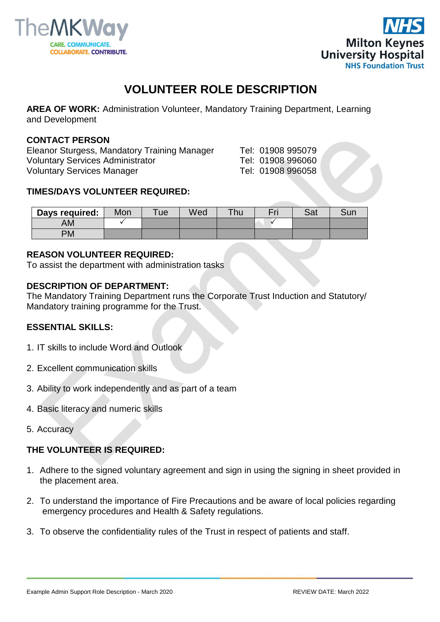



# **VOLUNTEER ROLE DESCRIPTION**

**AREA OF WORK:** Administration Volunteer, Mandatory Training Department, Learning and Development

#### **CONTACT PERSON**

Eleanor Sturgess, Mandatory Training Manager Tel: 01908 995079 Voluntary Services Administrator Tel: 01908 996060 Voluntary Services Manager Tel: 01908 996058

#### **TIMES/DAYS VOLUNTEER REQUIRED:**

| Days required: | Mon | ue | Wed | Thu | r. | こっも<br>oa | $\mathcal{L}_{\text{L}}$<br>∍∪u⊾ |
|----------------|-----|----|-----|-----|----|-----------|----------------------------------|
| ΑM             |     |    |     |     |    |           |                                  |
| PM             |     |    |     |     |    |           |                                  |

#### **REASON VOLUNTEER REQUIRED:**

To assist the department with administration tasks

#### **DESCRIPTION OF DEPARTMENT:**

The Mandatory Training Department runs the Corporate Trust Induction and Statutory/ Mandatory training programme for the Trust.

## **ESSENTIAL SKILLS:**

- 1. IT skills to include Word and Outlook
- 2. Excellent communication skills
- 3. Ability to work independently and as part of a team
- 4. Basic literacy and numeric skills
- 5. Accuracy

## **THE VOLUNTEER IS REQUIRED:**

- 1. Adhere to the signed voluntary agreement and sign in using the signing in sheet provided in the placement area.
- 2. To understand the importance of Fire Precautions and be aware of local policies regarding emergency procedures and Health & Safety regulations.
- 3. To observe the confidentiality rules of the Trust in respect of patients and staff.